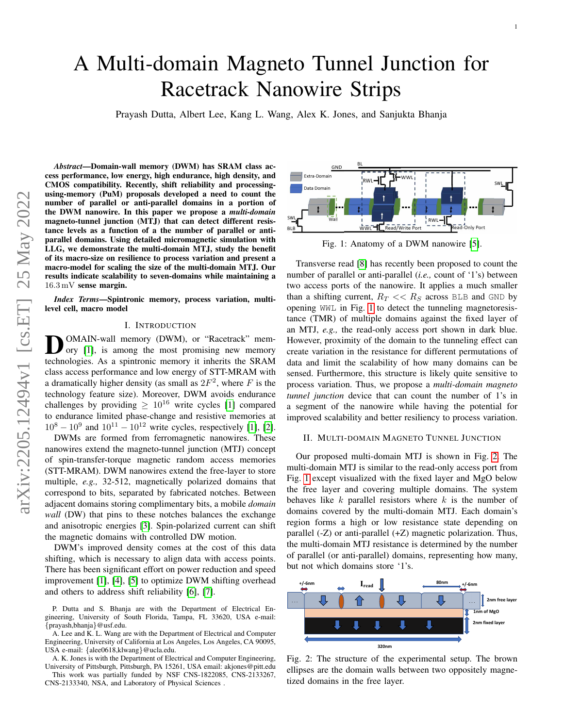# A Multi-domain Magneto Tunnel Junction for Racetrack Nanowire Strips

Prayash Dutta, Albert Lee, Kang L. Wang, Alex K. Jones, and Sanjukta Bhanja

*Abstract*—Domain-wall memory (DWM) has SRAM class access performance, low energy, high endurance, high density, and CMOS compatibility. Recently, shift reliability and processingusing-memory (PuM) proposals developed a need to count the number of parallel or anti-parallel domains in a portion of the DWM nanowire. In this paper we propose a *multi-domain* magneto-tunnel junction (MTJ) that can detect different resistance levels as a function of a the number of parallel or antiparallel domains. Using detailed micromagnetic simulation with LLG, we demonstrate the multi-domain MTJ, study the benefit of its macro-size on resilience to process variation and present a macro-model for scaling the size of the multi-domain MTJ. Our results indicate scalability to seven-domains while maintaining a 16.3 mV sense margin.

*Index Terms*—Spintronic memory, process variation, multilevel cell, macro model

## I. INTRODUCTION

**D**OMAIN-wall memory (DWM), or "Racetrack" memory or  $\left[1\right]$ , is among the most promising new memory OMAIN-wall memory (DWM), or "Racetrack" memtechnologies. As a spintronic memory it inherits the SRAM class access performance and low energy of STT-MRAM with a dramatically higher density (as small as  $2F^2$ , where F is the technology feature size). Moreover, DWM avoids endurance challenges by providing  $> 10^{16}$  write cycles [\[1\]](#page-2-0) compared to endurance limited phase-change and resistive memories at  $10^8 - 10^9$  and  $10^{11} - 10^{12}$  write cycles, respectively [\[1\]](#page-2-0), [\[2\]](#page-2-1).

DWMs are formed from ferromagnetic nanowires. These nanowires extend the magneto-tunnel junction (MTJ) concept of spin-transfer-torque magnetic random access memories (STT-MRAM). DWM nanowires extend the free-layer to store multiple, *e.g.,* 32-512, magnetically polarized domains that correspond to bits, separated by fabricated notches. Between adjacent domains storing complimentary bits, a mobile *domain wall* (DW) that pins to these notches balances the exchange and anisotropic energies [\[3\]](#page-2-2). Spin-polarized current can shift the magnetic domains with controlled DW motion.

DWM's improved density comes at the cost of this data shifting, which is necessary to align data with access points. There has been significant effort on power reduction and speed improvement [\[1\]](#page-2-0), [\[4\]](#page-2-3), [\[5\]](#page-2-4) to optimize DWM shifting overhead and others to address shift reliability [\[6\]](#page-2-5), [\[7\]](#page-2-6).

P. Dutta and S. Bhanja are with the Department of Electrical Engineering, University of South Florida, Tampa, FL 33620, USA e-mail: {prayash,bhanja}@usf.edu.

A. Lee and K. L. Wang are with the Department of Electrical and Computer Engineering, University of California at Los Angeles, Los Angeles, CA 90095, USA e-mail: {alee0618,klwang}@ucla.edu.

A. K. Jones is with the Department of Electrical and Computer Engineering, University of Pittsburgh, Pittsburgh, PA 15261, USA email: akjones@pitt.edu

This work was partially funded by NSF CNS-1822085, CNS-2133267, CNS-2133340, NSA, and Laboratory of Physical Sciences .

<span id="page-0-0"></span>

Fig. 1: Anatomy of a DWM nanowire [\[5\]](#page-2-4).

Transverse read [\[8\]](#page-2-7) has recently been proposed to count the number of parallel or anti-parallel (*i.e.,* count of '1's) between two access ports of the nanowire. It applies a much smaller than a shifting current,  $R_T \ll R_S$  across BLB and GND by opening WWL in Fig. [1](#page-0-0) to detect the tunneling magnetoresistance (TMR) of multiple domains against the fixed layer of an MTJ, *e.g.,* the read-only access port shown in dark blue. However, proximity of the domain to the tunneling effect can create variation in the resistance for different permutations of data and limit the scalability of how many domains can be sensed. Furthermore, this structure is likely quite sensitive to process variation. Thus, we propose a *multi-domain magneto tunnel junction* device that can count the number of 1's in a segment of the nanowire while having the potential for improved scalability and better resiliency to process variation.

### II. MULTI-DOMAIN MAGNETO TUNNEL JUNCTION

Our proposed multi-domain MTJ is shown in Fig. [2.](#page-0-1) The multi-domain MTJ is similar to the read-only access port from Fig. [1](#page-0-0) except visualized with the fixed layer and MgO below the free layer and covering multiple domains. The system behaves like  $k$  parallel resistors where  $k$  is the number of domains covered by the multi-domain MTJ. Each domain's region forms a high or low resistance state depending on parallel (-Z) or anti-parallel (+Z) magnetic polarization. Thus, the multi-domain MTJ resistance is determined by the number of parallel (or anti-parallel) domains, representing how many, but not which domains store '1's.

<span id="page-0-1"></span>

Fig. 2: The structure of the experimental setup. The brown ellipses are the domain walls between two oppositely magnetized domains in the free layer.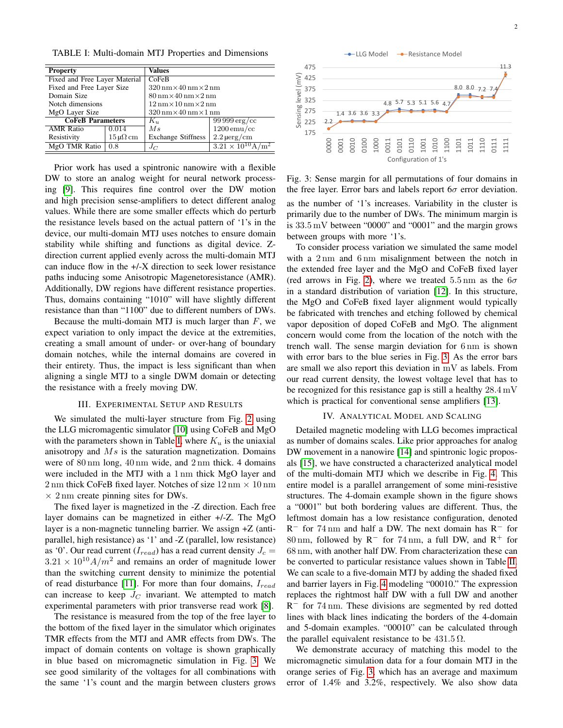<span id="page-1-0"></span>TABLE I: Multi-domain MTJ Properties and Dimensions

| <b>Property</b>               |                                           | <b>Values</b>                                                      |                             |  |
|-------------------------------|-------------------------------------------|--------------------------------------------------------------------|-----------------------------|--|
| Fixed and Free Layer Material |                                           | CoFeB                                                              |                             |  |
| Fixed and Free Layer Size     |                                           | $320 \,\mathrm{nm} \times 40 \,\mathrm{nm} \times 2 \,\mathrm{nm}$ |                             |  |
| Domain Size                   |                                           | $80 \,\mathrm{nm} \times 40 \,\mathrm{nm} \times 2 \,\mathrm{nm}$  |                             |  |
| Notch dimensions              |                                           | $12 \,\mathrm{nm} \times 10 \,\mathrm{nm} \times 2 \,\mathrm{nm}$  |                             |  |
| MgO Layer Size                |                                           | $320 \,\mathrm{nm} \times 40 \,\mathrm{nm} \times 1 \,\mathrm{nm}$ |                             |  |
| <b>CoFeB Parameters</b>       |                                           | $K_u$                                                              | $9999 \,\mathrm{erg/cc}$    |  |
| <b>AMR</b> Ratio              | 0.014                                     | Ms                                                                 | $1200$ emu/cc               |  |
| Resistivity                   | $15 \,\mathrm{\upmu}\Omega \,\mathrm{cm}$ | <b>Exchange Stiffness</b>                                          | $2.2 \,\mathrm{\mu erg/cm}$ |  |
| MgO TMR Ratio                 | 0.8                                       | $J_C$                                                              | $3.21 \times 10^{10} A/m^2$ |  |

Prior work has used a spintronic nanowire with a flexible DW to store an analog weight for neural network processing [\[9\]](#page-2-8). This requires fine control over the DW motion and high precision sense-amplifiers to detect different analog values. While there are some smaller effects which do perturb the resistance levels based on the actual pattern of '1's in the device, our multi-domain MTJ uses notches to ensure domain stability while shifting and functions as digital device. Zdirection current applied evenly across the multi-domain MTJ can induce flow in the +/-X direction to seek lower resistance paths inducing some Anisotropic Magenetoresistance (AMR). Additionally, DW regions have different resistance properties. Thus, domains containing "1010" will have slightly different resistance than than "1100" due to different numbers of DWs.

Because the multi-domain MTJ is much larger than  $F$ , we expect variation to only impact the device at the extremities, creating a small amount of under- or over-hang of boundary domain notches, while the internal domains are covered in their entirety. Thus, the impact is less significant than when aligning a single MTJ to a single DWM domain or detecting the resistance with a freely moving DW.

#### III. EXPERIMENTAL SETUP AND RESULTS

We simulated the multi-layer structure from Fig. [2](#page-0-1) using the LLG micromagentic simulator [\[10\]](#page-2-9) using CoFeB and MgO with the parameters shown in Table [I,](#page-1-0) where  $K_u$  is the uniaxial anisotropy and  $Ms$  is the saturation magnetization. Domains were of 80 nm long, 40 nm wide, and 2 nm thick. 4 domains were included in the MTJ with a 1 nm thick MgO layer and 2 nm thick CoFeB fixed layer. Notches of size  $12 \text{ nm} \times 10 \text{ nm}$  $\times$  2 nm create pinning sites for DWs.

The fixed layer is magnetized in the -Z direction. Each free layer domains can be magnetized in either +/-Z. The MgO layer is a non-magnetic tunneling barrier. We assign  $+Z$  (antiparallel, high resistance) as '1' and -Z (parallel, low resistance) as '0'. Our read current ( $I_{read}$ ) has a read current density  $J_c =$  $3.21 \times 10^{10} A/m^2$  and remains an order of magnitude lower than the switching current density to minimize the potential of read disturbance [\[11\]](#page-2-10). For more than four domains,  $I_{read}$ can increase to keep  $J_C$  invariant. We attempted to match experimental parameters with prior transverse read work [\[8\]](#page-2-7).

The resistance is measured from the top of the free layer to the bottom of the fixed layer in the simulator which originates TMR effects from the MTJ and AMR effects from DWs. The impact of domain contents on voltage is shown graphically in blue based on micromagnetic simulation in Fig. [3.](#page-1-1) We see good similarity of the voltages for all combinations with the same '1's count and the margin between clusters grows

<span id="page-1-1"></span>

Fig. 3: Sense margin for all permutations of four domains in the free layer. Error bars and labels report  $6\sigma$  error deviation. as the number of '1's increases. Variability in the cluster is primarily due to the number of DWs. The minimum margin is is 33.5 mV between "0000" and "0001" and the margin grows between groups with more '1's.

To consider process variation we simulated the same model with a 2 nm and 6 nm misalignment between the notch in the extended free layer and the MgO and CoFeB fixed layer (red arrows in Fig. [2\)](#page-0-1), where we treated  $5.5 \text{ nm}$  as the  $6\sigma$ in a standard distribution of variation [\[12\]](#page-2-11). In this structure, the MgO and CoFeB fixed layer alignment would typically be fabricated with trenches and etching followed by chemical vapor deposition of doped CoFeB and MgO. The alignment concern would come from the location of the notch with the trench wall. The sense margin deviation for 6 nm is shown with error bars to the blue series in Fig. [3.](#page-1-1) As the error bars are small we also report this deviation in mV as labels. From our read current density, the lowest voltage level that has to be recognized for this resistance gap is still a healthy 28.4 mV which is practical for conventional sense amplifiers [\[13\]](#page-2-12).

#### IV. ANALYTICAL MODEL AND SCALING

Detailed magnetic modeling with LLG becomes impractical as number of domains scales. Like prior approaches for analog DW movement in a nanowire [\[14\]](#page-2-13) and spintronic logic proposals [\[15\]](#page-2-14), we have constructed a characterized analytical model of the multi-domain MTJ which we describe in Fig. [4.](#page-2-15) This entire model is a parallel arrangement of some mini-resistive structures. The 4-domain example shown in the figure shows a "0001" but both bordering values are different. Thus, the leftmost domain has a low resistance configuration, denoted R <sup>−</sup> for 74 nm and half a DW. The next domain has R<sup>−</sup> for 80 nm, followed by R<sup>−</sup> for 74 nm, a full DW, and R<sup>+</sup> for 68 nm, with another half DW. From characterization these can be converted to particular resistance values shown in Table [II.](#page-2-16) We can scale to a five-domain MTJ by adding the shaded fixed and barrier layers in Fig. [4](#page-2-15) modeling "00010." The expression replaces the rightmost half DW with a full DW and another R<sup>-</sup> for 74 nm. These divisions are segmented by red dotted lines with black lines indicating the borders of the 4-domain and 5-domain examples. "00010" can be calculated through the parallel equivalent resistance to be  $431.5 \Omega$ .

We demonstrate accuracy of matching this model to the micromagnetic simulation data for a four domain MTJ in the orange series of Fig. [3,](#page-1-1) which has an average and maximum error of 1.4% and 3.2%, respectively. We also show data